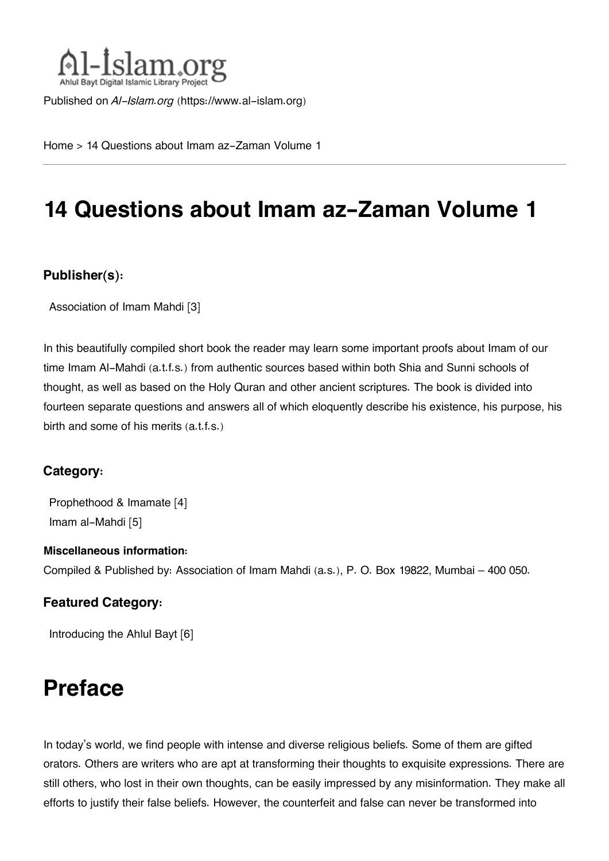

Published on *Al-Islam.org* ([https://www.al-islam.org\)](https://www.al-islam.org)

[Home](https://www.al-islam.org/) > 14 Questions about Imam az-Zaman Volume 1

# **14 Questions about Imam az-Zaman Volume 1**

### **Publisher(s):**

[Association of Imam Mahdi](https://www.al-islam.org/organization/association-imam-mahdi) [3]

In this beautifully compiled short book the reader may learn some important proofs about Imam of our time Imam Al-Mahdi (a.t.f.s.) from authentic sources based within both Shia and Sunni schools of thought, as well as based on the Holy Quran and other ancient scriptures. The book is divided into fourteen separate questions and answers all of which eloquently describe his existence, his purpose, his birth and some of his merits (a.t.f.s.)

### **Category:**

[Prophethood & Imamate](https://www.al-islam.org/library/prophethood-imamate) [4] [Imam al-Mahdi](https://www.al-islam.org/library/imam-al-mahdi) [5]

#### **Miscellaneous information:**

Compiled & Published by: Association of Imam Mahdi (a.s.), P. O. Box 19822, Mumbai – 400 050.

### **Featured Category:**

[Introducing the Ahlul Bayt](https://www.al-islam.org/feature/introducing-ahlul-bayt) [6]

## **Preface**

In today's world, we find people with intense and diverse religious beliefs. Some of them are gifted orators. Others are writers who are apt at transforming their thoughts to exquisite expressions. There are still others, who lost in their own thoughts, can be easily impressed by any misinformation. They make all efforts to justify their false beliefs. However, the counterfeit and false can never be transformed into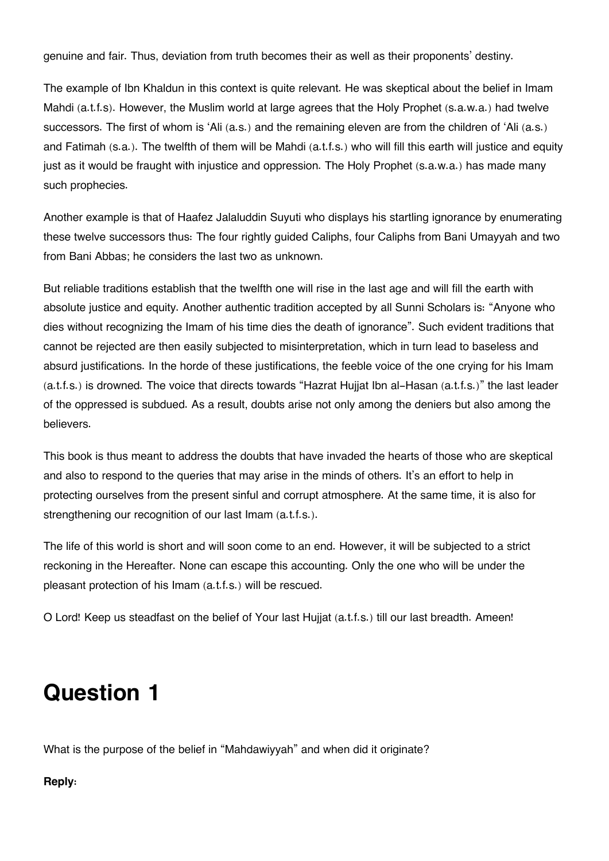genuine and fair. Thus, deviation from truth becomes their as well as their proponents' destiny.

The example of Ibn Khaldun in this context is quite relevant. He was skeptical about the belief in Imam Mahdi (a.t.f.s). However, the Muslim world at large agrees that the Holy Prophet (s.a.w.a.) had twelve successors. The first of whom is 'Ali (a.s.) and the remaining eleven are from the children of 'Ali (a.s.) and Fatimah (s.a.). The twelfth of them will be Mahdi (a.t.f.s.) who will fill this earth will justice and equity just as it would be fraught with injustice and oppression. The Holy Prophet (s.a.w.a.) has made many such prophecies.

Another example is that of Haafez Jalaluddin Suyuti who displays his startling ignorance by enumerating these twelve successors thus: The four rightly guided Caliphs, four Caliphs from Bani Umayyah and two from Bani Abbas; he considers the last two as unknown.

But reliable traditions establish that the twelfth one will rise in the last age and will fill the earth with absolute justice and equity. Another authentic tradition accepted by all Sunni Scholars is: "Anyone who dies without recognizing the Imam of his time dies the death of ignorance". Such evident traditions that cannot be rejected are then easily subjected to misinterpretation, which in turn lead to baseless and absurd justifications. In the horde of these justifications, the feeble voice of the one crying for his Imam (a.t.f.s.) is drowned. The voice that directs towards "Hazrat Hujjat Ibn al-Hasan (a.t.f.s.)" the last leader of the oppressed is subdued. As a result, doubts arise not only among the deniers but also among the believers.

This book is thus meant to address the doubts that have invaded the hearts of those who are skeptical and also to respond to the queries that may arise in the minds of others. It's an effort to help in protecting ourselves from the present sinful and corrupt atmosphere. At the same time, it is also for strengthening our recognition of our last Imam (a.t.f.s.).

The life of this world is short and will soon come to an end. However, it will be subjected to a strict reckoning in the Hereafter. None can escape this accounting. Only the one who will be under the pleasant protection of his Imam (a.t.f.s.) will be rescued.

O Lord! Keep us steadfast on the belief of Your last Hujjat (a.t.f.s.) till our last breadth. Ameen!

## **Question 1**

What is the purpose of the belief in "Mahdawiyyah" and when did it originate?

### **Reply:**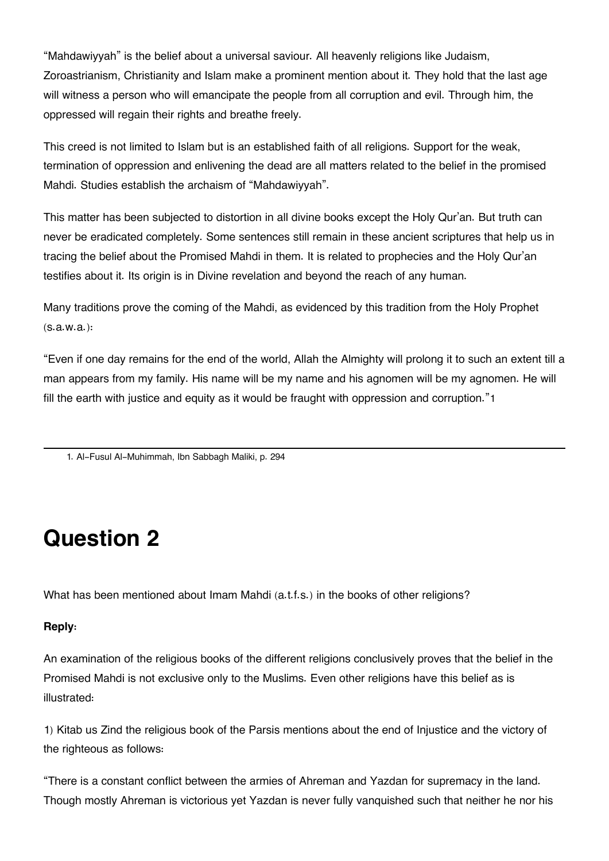"Mahdawiyyah" is the belief about a universal saviour. All heavenly religions like Judaism, Zoroastrianism, Christianity and Islam make a prominent mention about it. They hold that the last age will witness a person who will emancipate the people from all corruption and evil. Through him, the oppressed will regain their rights and breathe freely.

This creed is not limited to Islam but is an established faith of all religions. Support for the weak, termination of oppression and enlivening the dead are all matters related to the belief in the promised Mahdi. Studies establish the archaism of "Mahdawiyyah".

This matter has been subjected to distortion in all divine books except the Holy Qur'an. But truth can never be eradicated completely. Some sentences still remain in these ancient scriptures that help us in tracing the belief about the Promised Mahdi in them. It is related to prophecies and the Holy Qur'an testifies about it. Its origin is in Divine revelation and beyond the reach of any human.

Many traditions prove the coming of the Mahdi, as evidenced by this tradition from the Holy Prophet (s.a.w.a.):

"Even if one day remains for the end of the world, Allah the Almighty will prolong it to such an extent till a man appears from my family. His name will be my name and his agnomen will be my agnomen. He will fill the earth with justice and equity as it would be fraught with oppression and corruption."[1](#page--1-0)

## **Question 2**

What has been mentioned about Imam Mahdi (a.t.f.s.) in the books of other religions?

### **Reply:**

An examination of the religious books of the different religions conclusively proves that the belief in the Promised Mahdi is not exclusive only to the Muslims. Even other religions have this belief as is illustrated:

1) Kitab us Zind the religious book of the Parsis mentions about the end of Injustice and the victory of the righteous as follows:

"There is a constant conflict between the armies of Ahreman and Yazdan for supremacy in the land. Though mostly Ahreman is victorious yet Yazdan is never fully vanquished such that neither he nor his

[<sup>1.</sup>](#page--1-0) Al-Fusul Al-Muhimmah, Ibn Sabbagh Maliki, p. 294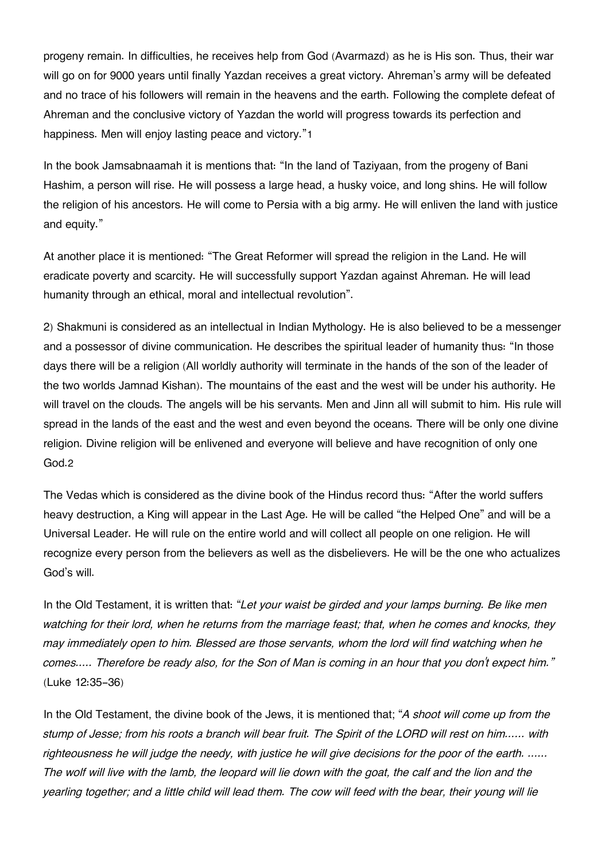progeny remain. In difficulties, he receives help from God (Avarmazd) as he is His son. Thus, their war will go on for 9000 years until finally Yazdan receives a great victory. Ahreman's army will be defeated and no trace of his followers will remain in the heavens and the earth. Following the complete defeat of Ahreman and the conclusive victory of Yazdan the world will progress towards its perfection and happiness. Men will enjoy lasting peace and victory."[1](#page--1-0)

In the book Jamsabnaamah it is mentions that: "In the land of Taziyaan, from the progeny of Bani Hashim, a person will rise. He will possess a large head, a husky voice, and long shins. He will follow the religion of his ancestors. He will come to Persia with a big army. He will enliven the land with justice and equity."

At another place it is mentioned: "The Great Reformer will spread the religion in the Land. He will eradicate poverty and scarcity. He will successfully support Yazdan against Ahreman. He will lead humanity through an ethical, moral and intellectual revolution".

2) Shakmuni is considered as an intellectual in Indian Mythology. He is also believed to be a messenger and a possessor of divine communication. He describes the spiritual leader of humanity thus: "In those days there will be a religion (All worldly authority will terminate in the hands of the son of the leader of the two worlds Jamnad Kishan). The mountains of the east and the west will be under his authority. He will travel on the clouds. The angels will be his servants. Men and Jinn all will submit to him. His rule will spread in the lands of the east and the west and even beyond the oceans. There will be only one divine religion. Divine religion will be enlivened and everyone will believe and have recognition of only one God.[2](#page--1-0)

The Vedas which is considered as the divine book of the Hindus record thus: "After the world suffers heavy destruction, a King will appear in the Last Age. He will be called "the Helped One" and will be a Universal Leader. He will rule on the entire world and will collect all people on one religion. He will recognize every person from the believers as well as the disbelievers. He will be the one who actualizes God's will.

In the Old Testament, it is written that: "*Let your waist be girded and your lamps burning. Be like men watching for their lord, when he returns from the marriage feast; that, when he comes and knocks, they may immediately open to him. Blessed are those servants, whom the lord will find watching when he comes..... Therefore be ready also, for the Son of Man is coming in an hour that you don't expect him."* (Luke 12:35-36)

In the Old Testament, the divine book of the Jews, it is mentioned that; "*A shoot will come up from the stump of Jesse; from his roots a branch will bear fruit. The Spirit of the LORD will rest on him...... with righteousness he will judge the needy, with justice he will give decisions for the poor of the earth. ...... The wolf will live with the lamb, the leopard will lie down with the goat, the calf and the lion and the yearling together; and a little child will lead them. The cow will feed with the bear, their young will lie*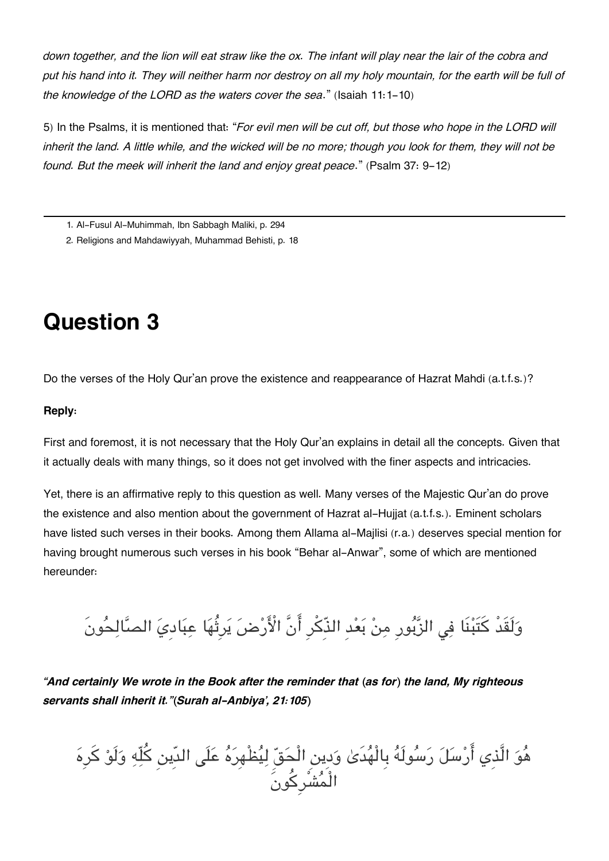*down together, and the lion will eat straw like the ox. The infant will play near the lair of the cobra and put his hand into it. They will neither harm nor destroy on all my holy mountain, for the earth will be full of the knowledge of the LORD as the waters cover the sea*." (Isaiah 11:1-10)

5) In the Psalms, it is mentioned that: "*For evil men will be cut off, but those who hope in the LORD will inherit the land. A little while, and the wicked will be no more; though you look for them, they will not be found. But the meek will inherit the land and enjoy great peace*." (Psalm 37: 9-12)

[2.](#page--1-0) Religions and Mahdawiyyah, Muhammad Behisti, p. 18

## **Question 3**

Do the verses of the Holy Qur'an prove the existence and reappearance of Hazrat Mahdi (a.t.f.s.)?

### **Reply:**

First and foremost, it is not necessary that the Holy Qur'an explains in detail all the concepts. Given that it actually deals with many things, so it does not get involved with the finer aspects and intricacies.

Yet, there is an affirmative reply to this question as well. Many verses of the Majestic Qur'an do prove the existence and also mention about the government of Hazrat al-Hujjat (a.t.f.s.). Eminent scholars have listed such verses in their books. Among them Allama al-Majlisi (r.a.) deserves special mention for having brought numerous such verses in his book "Behar al-Anwar", some of which are mentioned hereunder:

وَلَقَدْ كَتَبْنَا فِي الزَّبُورِ مِنْ بَعْدِ الذَّكْرِ أَنَّ الْأَرْضَ يَرِثُهَا عِبَادِيَ الصَّالِحُونَ

*"And certainly We wrote in the Book after the reminder that (as for) the land, My righteous servants shall inherit it."(Surah al-Anbiya', 21:105)*

هُوَ الَّذِي أَرْسَلَ رَسُولَهُ بِالْهَدَىٰ وَدِينِ الْحَقِّ لِيَظْهِرَهُ عَلَى الدِّينِ كَلِّهِ وَلَوْ كَرِهَ الْمشْرِكونَ

[<sup>1.</sup>](#page--1-0) Al-Fusul Al-Muhimmah, Ibn Sabbagh Maliki, p. 294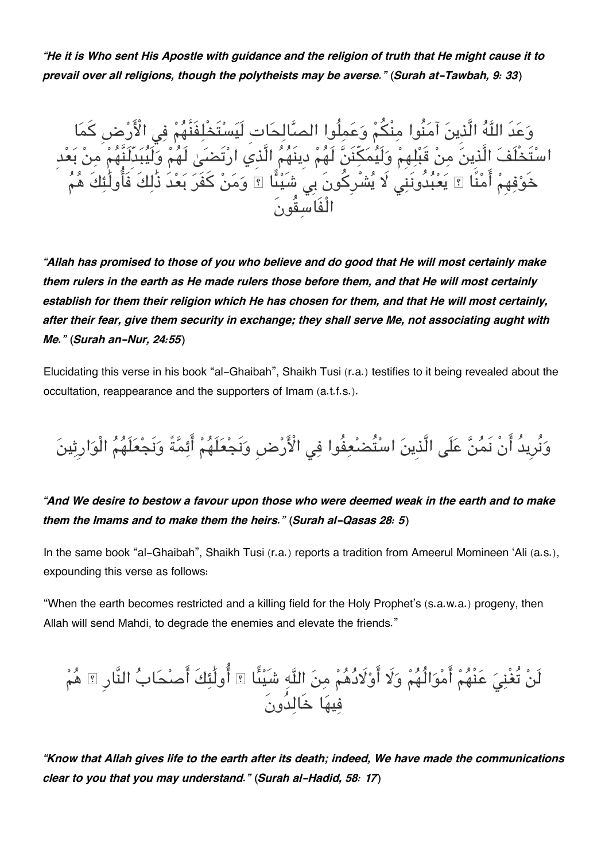*"He it is Who sent His Apostle with guidance and the religion of truth that He might cause it to prevail over all religions, though the polytheists may be averse." (Surah at-Tawbah, 9: 33)*

وَعَدَ اللَّهُ الَّذِينَ آمَنُوا مِنْكُمْ وَعَمِلُوا الصَّالِحَاتِ لَيَسْتَخْلِفَنَّهُمْ فِي الْأَرْضِ كَمَا اسْتَخْلَفَ الَّذِينَ مِنْ قَبْلِهِمْ وَلَيُمَكِّنَنَّ لَهُمْ دِينَهُمُ الَّذِي ارْتَضَىٰ لَهُمْ وَلَيْبَدِّلَنَّهُمْ مِنْ بَعْد خَوْفِهِمْ امْنَا ۩ يَعْبُدُوننِي لا يَشْرِكُونَ بِي شَيْنَا ۩ وَمَنْ كَفَرَ بَعْدَ ذَٰلِكَ فَاولَٰئِكَ هَمَ الْفَاسقُونَ

*"Allah has promised to those of you who believe and do good that He will most certainly make them rulers in the earth as He made rulers those before them, and that He will most certainly establish for them their religion which He has chosen for them, and that He will most certainly, after their fear, give them security in exchange; they shall serve Me, not associating aught with Me." (Surah an-Nur, 24:55)*

Elucidating this verse in his book "al-Ghaibah", Shaikh Tusi (r.a.) testifies to it being revealed about the occultation, reappearance and the supporters of Imam (a.t.f.s.).

وَنُرِيدُ أَنْ نَمُنَّ عَلَى الَّذِينَ اسْتُضْعِفُوا فِي الْأَرْضِ وَنَجْعَلَهُمْ أَئِمَّةً وَنَجْعَلَهُمُ الْوَارِثِينَ

### *"And We desire to bestow a favour upon those who were deemed weak in the earth and to make them the Imams and to make them the heirs." (Surah al-Qasas 28: 5)*

In the same book "al-Ghaibah", Shaikh Tusi (r.a.) reports a tradition from Ameerul Momineen 'Ali (a.s.), expounding this verse as follows:

"When the earth becomes restricted and a killing field for the Holy Prophet's (s.a.w.a.) progeny, then Allah will send Mahdi, to degrade the enemies and elevate the friends."

لَنٰ تُغْنِيَ عَنُهُمُ أَمْوَالُهُمُ وَلَا أُوٌلُادُهُمُ مِنَ اللَّه شَيُنًا ९ أُولَلَئِكَ أُصُحَابُ النَّارِ १ॄ هُمُ
$$
\overline{\phantom{a}}
$$

*"Know that Allah gives life to the earth after its death; indeed, We have made the communications clear to you that you may understand." (Surah al-Hadid, 58: 17)*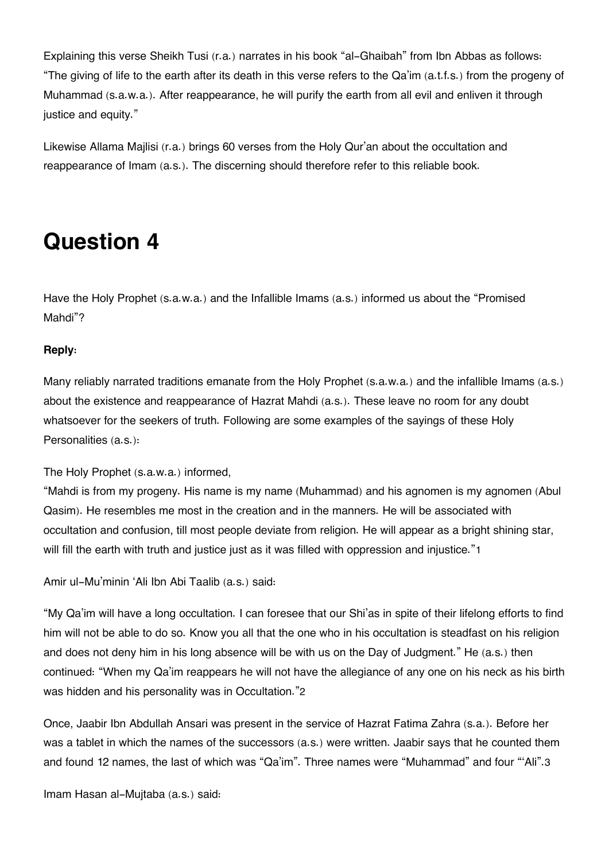Explaining this verse Sheikh Tusi (r.a.) narrates in his book "al-Ghaibah" from Ibn Abbas as follows: "The giving of life to the earth after its death in this verse refers to the Qa'im (a.t.f.s.) from the progeny of Muhammad (s.a.w.a.). After reappearance, he will purify the earth from all evil and enliven it through justice and equity."

Likewise Allama Majlisi (r.a.) brings 60 verses from the Holy Qur'an about the occultation and reappearance of Imam (a.s.). The discerning should therefore refer to this reliable book.

## **Question 4**

Have the Holy Prophet (s.a.w.a.) and the Infallible Imams (a.s.) informed us about the "Promised Mahdi"?

### **Reply:**

Many reliably narrated traditions emanate from the Holy Prophet (s.a.w.a.) and the infallible Imams (a.s.) about the existence and reappearance of Hazrat Mahdi (a.s.). These leave no room for any doubt whatsoever for the seekers of truth. Following are some examples of the sayings of these Holy Personalities (a.s.):

The Holy Prophet (s.a.w.a.) informed,

"Mahdi is from my progeny. His name is my name (Muhammad) and his agnomen is my agnomen (Abul Qasim). He resembles me most in the creation and in the manners. He will be associated with occultation and confusion, till most people deviate from religion. He will appear as a bright shining star, will fill the earth with truth and justice just as it was filled with oppression and injustice."[1](#page--1-0)

Amir ul-Mu'minin 'Ali Ibn Abi Taalib (a.s.) said:

"My Qa'im will have a long occultation. I can foresee that our Shi'as in spite of their lifelong efforts to find him will not be able to do so. Know you all that the one who in his occultation is steadfast on his religion and does not deny him in his long absence will be with us on the Day of Judgment." He (a.s.) then continued: "When my Qa'im reappears he will not have the allegiance of any one on his neck as his birth was hidden and his personality was in Occultation."[2](#page--1-0)

Once, Jaabir Ibn Abdullah Ansari was present in the service of Hazrat Fatima Zahra (s.a.). Before her was a tablet in which the names of the successors (a.s.) were written. Jaabir says that he counted them and found 12 names, the last of which was "Qa'im". Three names were "Muhammad" and four "'Ali".[3](#page--1-0)

Imam Hasan al-Mujtaba (a.s.) said: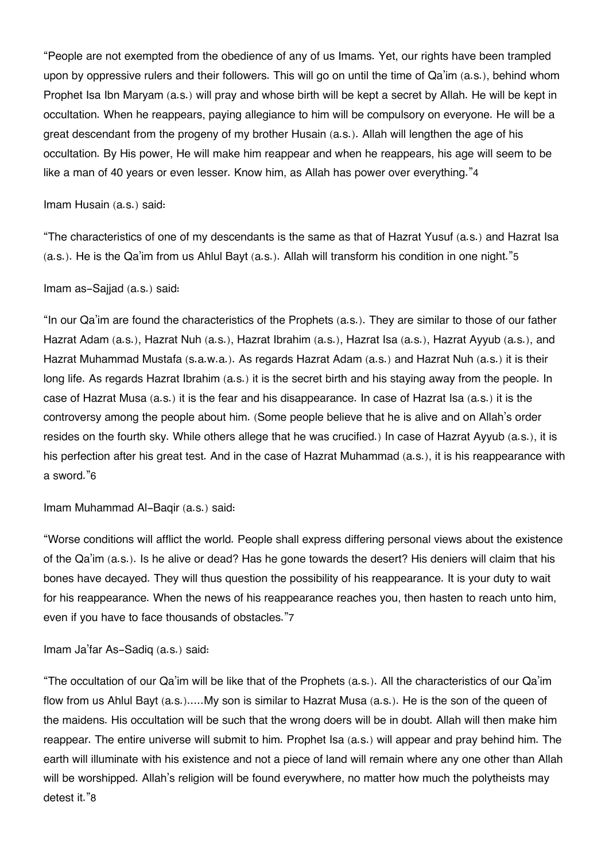"People are not exempted from the obedience of any of us Imams. Yet, our rights have been trampled upon by oppressive rulers and their followers. This will go on until the time of Qa'im (a.s.), behind whom Prophet Isa Ibn Maryam (a.s.) will pray and whose birth will be kept a secret by Allah. He will be kept in occultation. When he reappears, paying allegiance to him will be compulsory on everyone. He will be a great descendant from the progeny of my brother Husain (a.s.). Allah will lengthen the age of his occultation. By His power, He will make him reappear and when he reappears, his age will seem to be like a man of 40 years or even lesser. Know him, as Allah has power over everything."[4](#page--1-0)

#### Imam Husain (a.s.) said:

"The characteristics of one of my descendants is the same as that of Hazrat Yusuf (a.s.) and Hazrat Isa (a.s.). He is the Qa'im from us Ahlul Bayt (a.s.). Allah will transform his condition in one night."[5](#page--1-0)

#### Imam as-Sajjad (a.s.) said:

"In our Qa'im are found the characteristics of the Prophets (a.s.). They are similar to those of our father Hazrat Adam (a.s.), Hazrat Nuh (a.s.), Hazrat Ibrahim (a.s.), Hazrat Isa (a.s.), Hazrat Ayyub (a.s.), and Hazrat Muhammad Mustafa (s.a.w.a.). As regards Hazrat Adam (a.s.) and Hazrat Nuh (a.s.) it is their long life. As regards Hazrat Ibrahim (a.s.) it is the secret birth and his staying away from the people. In case of Hazrat Musa (a.s.) it is the fear and his disappearance. In case of Hazrat Isa (a.s.) it is the controversy among the people about him. (Some people believe that he is alive and on Allah's order resides on the fourth sky. While others allege that he was crucified.) In case of Hazrat Ayyub (a.s.), it is his perfection after his great test. And in the case of Hazrat Muhammad (a.s.), it is his reappearance with a sword."[6](#page--1-0)

#### Imam Muhammad Al-Baqir (a.s.) said:

"Worse conditions will afflict the world. People shall express differing personal views about the existence of the Qa'im (a.s.). Is he alive or dead? Has he gone towards the desert? His deniers will claim that his bones have decayed. They will thus question the possibility of his reappearance. It is your duty to wait for his reappearance. When the news of his reappearance reaches you, then hasten to reach unto him, even if you have to face thousands of obstacles."[7](#page--1-0)

#### Imam Ja'far As-Sadiq (a.s.) said:

"The occultation of our Qa'im will be like that of the Prophets (a.s.). All the characteristics of our Qa'im flow from us Ahlul Bayt (a.s.).....My son is similar to Hazrat Musa (a.s.). He is the son of the queen of the maidens. His occultation will be such that the wrong doers will be in doubt. Allah will then make him reappear. The entire universe will submit to him. Prophet Isa (a.s.) will appear and pray behind him. The earth will illuminate with his existence and not a piece of land will remain where any one other than Allah will be worshipped. Allah's religion will be found everywhere, no matter how much the polytheists may detest it."[8](#page--1-0)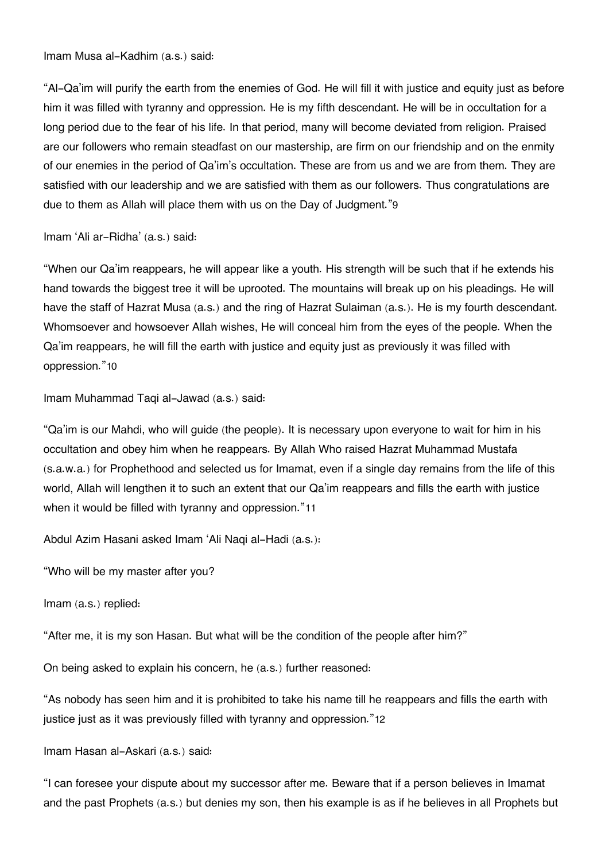Imam Musa al-Kadhim (a.s.) said:

"Al-Qa'im will purify the earth from the enemies of God. He will fill it with justice and equity just as before him it was filled with tyranny and oppression. He is my fifth descendant. He will be in occultation for a long period due to the fear of his life. In that period, many will become deviated from religion. Praised are our followers who remain steadfast on our mastership, are firm on our friendship and on the enmity of our enemies in the period of Qa'im's occultation. These are from us and we are from them. They are satisfied with our leadership and we are satisfied with them as our followers. Thus congratulations are due to them as Allah will place them with us on the Day of Judgment."[9](#page--1-0)

Imam 'Ali ar-Ridha' (a.s.) said:

"When our Qa'im reappears, he will appear like a youth. His strength will be such that if he extends his hand towards the biggest tree it will be uprooted. The mountains will break up on his pleadings. He will have the staff of Hazrat Musa (a.s.) and the ring of Hazrat Sulaiman (a.s.). He is my fourth descendant. Whomsoever and howsoever Allah wishes, He will conceal him from the eyes of the people. When the Qa'im reappears, he will fill the earth with justice and equity just as previously it was filled with oppression."[10](#page--1-0)

Imam Muhammad Taqi al-Jawad (a.s.) said:

"Qa'im is our Mahdi, who will guide (the people). It is necessary upon everyone to wait for him in his occultation and obey him when he reappears. By Allah Who raised Hazrat Muhammad Mustafa (s.a.w.a.) for Prophethood and selected us for Imamat, even if a single day remains from the life of this world, Allah will lengthen it to such an extent that our Qa'im reappears and fills the earth with justice when it would be filled with tyranny and oppression."[11](#page--1-0)

Abdul Azim Hasani asked Imam 'Ali Naqi al-Hadi (a.s.):

"Who will be my master after you?

Imam (a.s.) replied:

"After me, it is my son Hasan. But what will be the condition of the people after him?"

On being asked to explain his concern, he (a.s.) further reasoned:

"As nobody has seen him and it is prohibited to take his name till he reappears and fills the earth with justice just as it was previously filled with tyranny and oppression."[12](#page--1-0)

Imam Hasan al-Askari (a.s.) said:

"I can foresee your dispute about my successor after me. Beware that if a person believes in Imamat and the past Prophets (a.s.) but denies my son, then his example is as if he believes in all Prophets but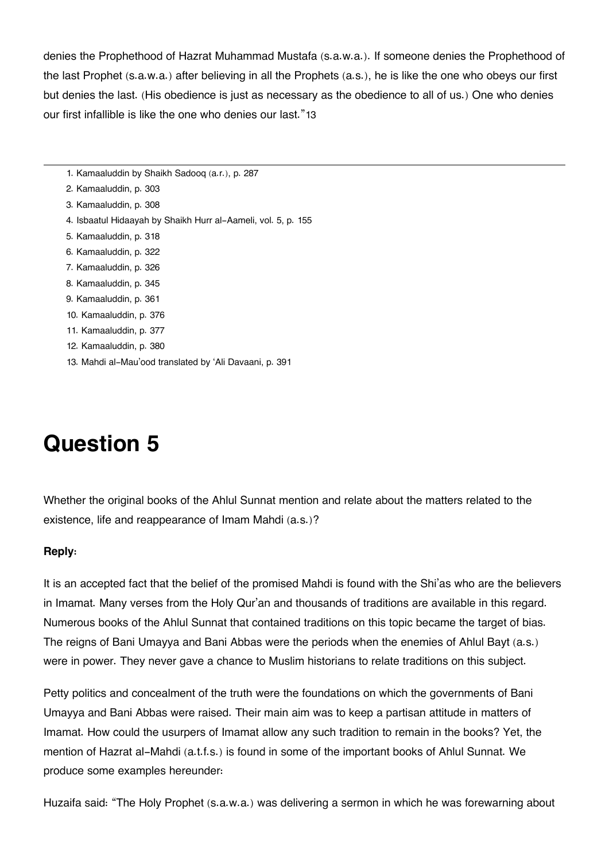denies the Prophethood of Hazrat Muhammad Mustafa (s.a.w.a.). If someone denies the Prophethood of the last Prophet (s.a.w.a.) after believing in all the Prophets (a.s.), he is like the one who obeys our first but denies the last. (His obedience is just as necessary as the obedience to all of us.) One who denies our first infallible is like the one who denies our last."[13](#page--1-0)

- [1.](#page--1-0) Kamaaluddin by Shaikh Sadooq (a.r.), p. 287
- [2.](#page--1-0) Kamaaluddin, p. 303
- [3.](#page--1-0) Kamaaluddin, p. 308
- [4.](#page--1-0) Isbaatul Hidaayah by Shaikh Hurr al-Aameli, vol. 5, p. 155
- [5.](#page--1-0) Kamaaluddin, p. 318
- [6.](#page--1-0) Kamaaluddin, p. 322
- [7.](#page--1-0) Kamaaluddin, p. 326
- [8.](#page--1-0) Kamaaluddin, p. 345
- [9.](#page--1-0) Kamaaluddin, p. 361
- [10.](#page--1-0) Kamaaluddin, p. 376
- [11.](#page--1-0) Kamaaluddin, p. 377
- [12.](#page--1-0) Kamaaluddin, p. 380
- [13.](#page--1-0) Mahdi al-Mau'ood translated by 'Ali Davaani, p. 391

## **Question 5**

Whether the original books of the Ahlul Sunnat mention and relate about the matters related to the existence, life and reappearance of Imam Mahdi (a.s.)?

#### **Reply:**

It is an accepted fact that the belief of the promised Mahdi is found with the Shi'as who are the believers in Imamat. Many verses from the Holy Qur'an and thousands of traditions are available in this regard. Numerous books of the Ahlul Sunnat that contained traditions on this topic became the target of bias. The reigns of Bani Umayya and Bani Abbas were the periods when the enemies of Ahlul Bayt (a.s.) were in power. They never gave a chance to Muslim historians to relate traditions on this subject.

Petty politics and concealment of the truth were the foundations on which the governments of Bani Umayya and Bani Abbas were raised. Their main aim was to keep a partisan attitude in matters of Imamat. How could the usurpers of Imamat allow any such tradition to remain in the books? Yet, the mention of Hazrat al-Mahdi (a.t.f.s.) is found in some of the important books of Ahlul Sunnat. We produce some examples hereunder:

Huzaifa said: "The Holy Prophet (s.a.w.a.) was delivering a sermon in which he was forewarning about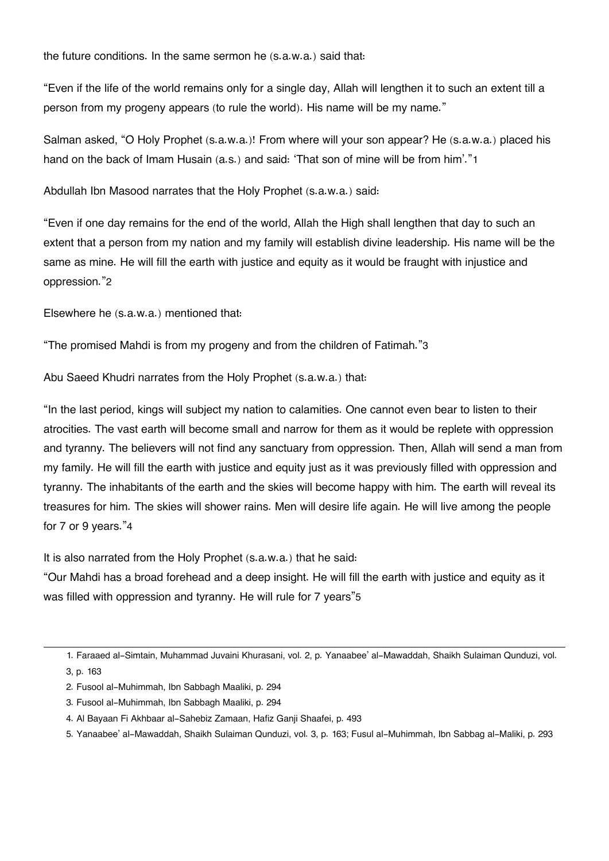the future conditions. In the same sermon he (s.a.w.a.) said that:

"Even if the life of the world remains only for a single day, Allah will lengthen it to such an extent till a person from my progeny appears (to rule the world). His name will be my name."

Salman asked, "O Holy Prophet (s.a.w.a.)! From where will your son appear? He (s.a.w.a.) placed his hand on the back of Imam Husain (a.s.) and said: 'That son of mine will be from him'."[1](#page--1-0)

Abdullah Ibn Masood narrates that the Holy Prophet (s.a.w.a.) said:

"Even if one day remains for the end of the world, Allah the High shall lengthen that day to such an extent that a person from my nation and my family will establish divine leadership. His name will be the same as mine. He will fill the earth with justice and equity as it would be fraught with injustice and oppression."[2](#page--1-0)

Elsewhere he (s.a.w.a.) mentioned that:

"The promised Mahdi is from my progeny and from the children of Fatimah."[3](#page--1-0)

Abu Saeed Khudri narrates from the Holy Prophet (s.a.w.a.) that:

"In the last period, kings will subject my nation to calamities. One cannot even bear to listen to their atrocities. The vast earth will become small and narrow for them as it would be replete with oppression and tyranny. The believers will not find any sanctuary from oppression. Then, Allah will send a man from my family. He will fill the earth with justice and equity just as it was previously filled with oppression and tyranny. The inhabitants of the earth and the skies will become happy with him. The earth will reveal its treasures for him. The skies will shower rains. Men will desire life again. He will live among the people for 7 or 9 years."[4](#page--1-0)

It is also narrated from the Holy Prophet (s.a.w.a.) that he said:

"Our Mahdi has a broad forehead and a deep insight. He will fill the earth with justice and equity as it was filled with oppression and tyranny. He will rule for 7 years"[5](#page--1-0)

[1.](#page--1-0) Faraaed al-Simtain, Muhammad Juvaini Khurasani, vol. 2, p. Yanaabee' al-Mawaddah, Shaikh Sulaiman Qunduzi, vol.

3, p. 163

- [3.](#page--1-0) Fusool al-Muhimmah, Ibn Sabbagh Maaliki, p. 294
- [4.](#page--1-0) Al Bayaan Fi Akhbaar al-Sahebiz Zamaan, Hafiz Ganji Shaafei, p. 493
- [5.](#page--1-0) Yanaabee' al-Mawaddah, Shaikh Sulaiman Qunduzi, vol. 3, p. 163; Fusul al-Muhimmah, Ibn Sabbag al-Maliki, p. 293

[<sup>2.</sup>](#page--1-0) Fusool al-Muhimmah, Ibn Sabbagh Maaliki, p. 294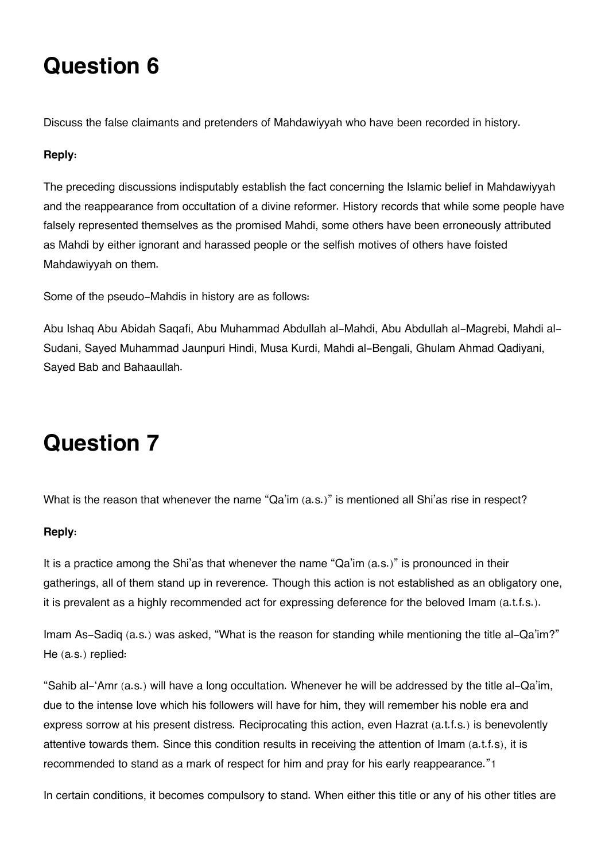## **Question 6**

Discuss the false claimants and pretenders of Mahdawiyyah who have been recorded in history.

### **Reply:**

The preceding discussions indisputably establish the fact concerning the Islamic belief in Mahdawiyyah and the reappearance from occultation of a divine reformer. History records that while some people have falsely represented themselves as the promised Mahdi, some others have been erroneously attributed as Mahdi by either ignorant and harassed people or the selfish motives of others have foisted Mahdawiyyah on them.

Some of the pseudo-Mahdis in history are as follows:

Abu Ishaq Abu Abidah Saqafi, Abu Muhammad Abdullah al-Mahdi, Abu Abdullah al-Magrebi, Mahdi al-Sudani, Sayed Muhammad Jaunpuri Hindi, Musa Kurdi, Mahdi al-Bengali, Ghulam Ahmad Qadiyani, Sayed Bab and Bahaaullah.

# **Question 7**

What is the reason that whenever the name "Qa'im (a.s.)" is mentioned all Shi'as rise in respect?

### **Reply:**

It is a practice among the Shi'as that whenever the name "Qa'im (a.s.)" is pronounced in their gatherings, all of them stand up in reverence. Though this action is not established as an obligatory one, it is prevalent as a highly recommended act for expressing deference for the beloved Imam (a.t.f.s.).

Imam As-Sadiq (a.s.) was asked, "What is the reason for standing while mentioning the title al-Qa'im?" He (a.s.) replied:

"Sahib al-'Amr (a.s.) will have a long occultation. Whenever he will be addressed by the title al-Qa'im, due to the intense love which his followers will have for him, they will remember his noble era and express sorrow at his present distress. Reciprocating this action, even Hazrat (a.t.f.s.) is benevolently attentive towards them. Since this condition results in receiving the attention of Imam (a.t.f.s), it is recommended to stand as a mark of respect for him and pray for his early reappearance."[1](#page--1-0)

In certain conditions, it becomes compulsory to stand. When either this title or any of his other titles are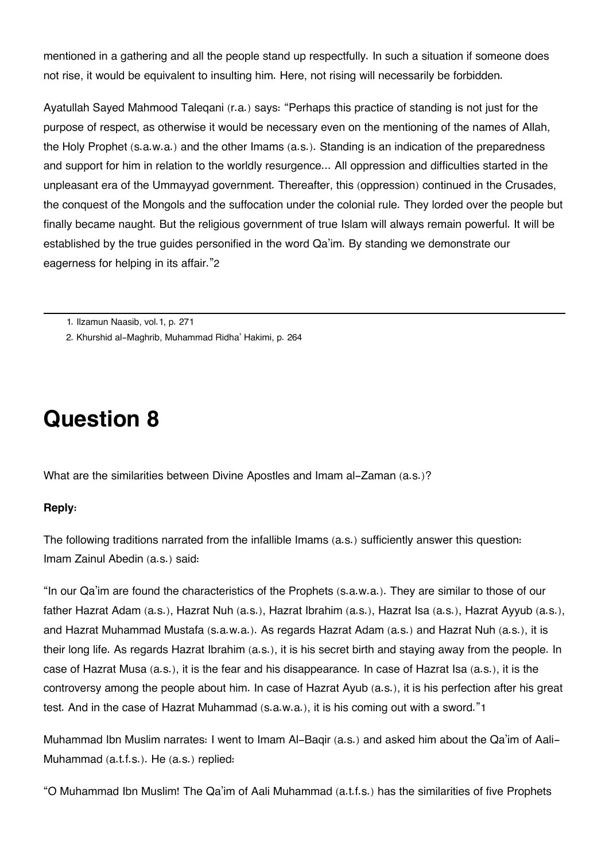mentioned in a gathering and all the people stand up respectfully. In such a situation if someone does not rise, it would be equivalent to insulting him. Here, not rising will necessarily be forbidden.

Ayatullah Sayed Mahmood Taleqani (r.a.) says: "Perhaps this practice of standing is not just for the purpose of respect, as otherwise it would be necessary even on the mentioning of the names of Allah, the Holy Prophet (s.a.w.a.) and the other Imams (a.s.). Standing is an indication of the preparedness and support for him in relation to the worldly resurgence... All oppression and difficulties started in the unpleasant era of the Ummayyad government. Thereafter, this (oppression) continued in the Crusades, the conquest of the Mongols and the suffocation under the colonial rule. They lorded over the people but finally became naught. But the religious government of true Islam will always remain powerful. It will be established by the true guides personified in the word Qa'im. By standing we demonstrate our eagerness for helping in its affair."[2](#page--1-0)

[1.](#page--1-0) Ilzamun Naasib, vol.1, p. 271

[2.](#page--1-0) Khurshid al-Maghrib, Muhammad Ridha' Hakimi, p. 264

# **Question 8**

What are the similarities between Divine Apostles and Imam al-Zaman (a.s.)?

### **Reply:**

The following traditions narrated from the infallible Imams (a.s.) sufficiently answer this question: Imam Zainul Abedin (a.s.) said:

"In our Qa'im are found the characteristics of the Prophets (s.a.w.a.). They are similar to those of our father Hazrat Adam (a.s.), Hazrat Nuh (a.s.), Hazrat Ibrahim (a.s.), Hazrat Isa (a.s.), Hazrat Ayyub (a.s.), and Hazrat Muhammad Mustafa (s.a.w.a.). As regards Hazrat Adam (a.s.) and Hazrat Nuh (a.s.), it is their long life. As regards Hazrat Ibrahim (a.s.), it is his secret birth and staying away from the people. In case of Hazrat Musa (a.s.), it is the fear and his disappearance. In case of Hazrat Isa (a.s.), it is the controversy among the people about him. In case of Hazrat Ayub (a.s.), it is his perfection after his great test. And in the case of Hazrat Muhammad (s.a.w.a.), it is his coming out with a sword."[1](#page--1-0)

Muhammad Ibn Muslim narrates: I went to Imam Al-Baqir (a.s.) and asked him about the Qa'im of Aali-Muhammad (a.t.f.s.). He (a.s.) replied:

"O Muhammad Ibn Muslim! The Qa'im of Aali Muhammad (a.t.f.s.) has the similarities of five Prophets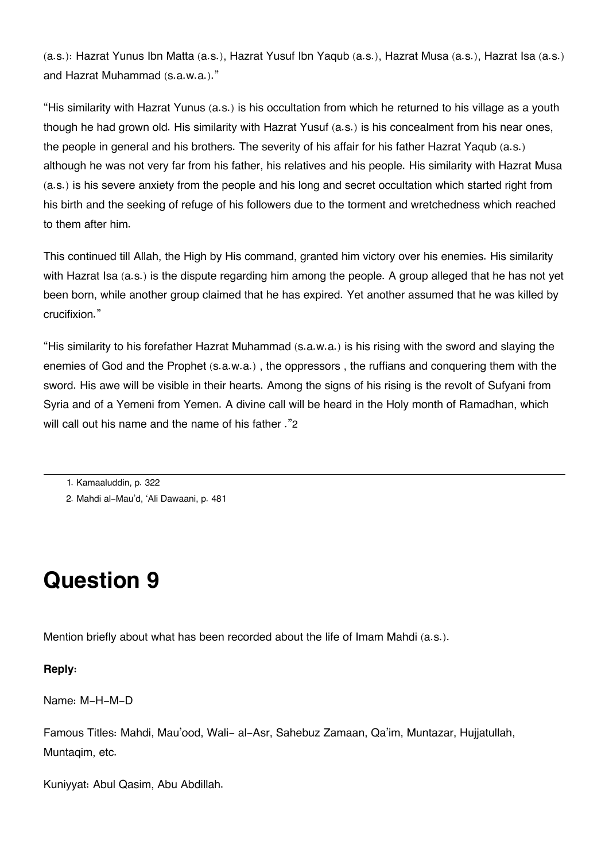(a.s.): Hazrat Yunus Ibn Matta (a.s.), Hazrat Yusuf Ibn Yaqub (a.s.), Hazrat Musa (a.s.), Hazrat Isa (a.s.) and Hazrat Muhammad (s.a.w.a.)."

"His similarity with Hazrat Yunus (a.s.) is his occultation from which he returned to his village as a youth though he had grown old. His similarity with Hazrat Yusuf (a.s.) is his concealment from his near ones, the people in general and his brothers. The severity of his affair for his father Hazrat Yaqub (a.s.) although he was not very far from his father, his relatives and his people. His similarity with Hazrat Musa (a.s.) is his severe anxiety from the people and his long and secret occultation which started right from his birth and the seeking of refuge of his followers due to the torment and wretchedness which reached to them after him.

This continued till Allah, the High by His command, granted him victory over his enemies. His similarity with Hazrat Isa (a.s.) is the dispute regarding him among the people. A group alleged that he has not yet been born, while another group claimed that he has expired. Yet another assumed that he was killed by crucifixion."

"His similarity to his forefather Hazrat Muhammad (s.a.w.a.) is his rising with the sword and slaying the enemies of God and the Prophet (s.a.w.a.) , the oppressors , the ruffians and conquering them with the sword. His awe will be visible in their hearts. Among the signs of his rising is the revolt of Sufyani from Syria and of a Yemeni from Yemen. A divine call will be heard in the Holy month of Ramadhan, which will call out his name and the name of his father ."[2](#page--1-0)

[1.](#page--1-0) Kamaaluddin, p. 322

[2.](#page--1-0) Mahdi al-Mau'd, 'Ali Dawaani, p. 481

# **Question 9**

Mention briefly about what has been recorded about the life of Imam Mahdi (a.s.).

**Reply:**

Name: M-H-M-D

Famous Titles: Mahdi, Mau'ood, Wali- al-Asr, Sahebuz Zamaan, Qa'im, Muntazar, Hujjatullah, Muntaqim, etc.

Kuniyyat: Abul Qasim, Abu Abdillah.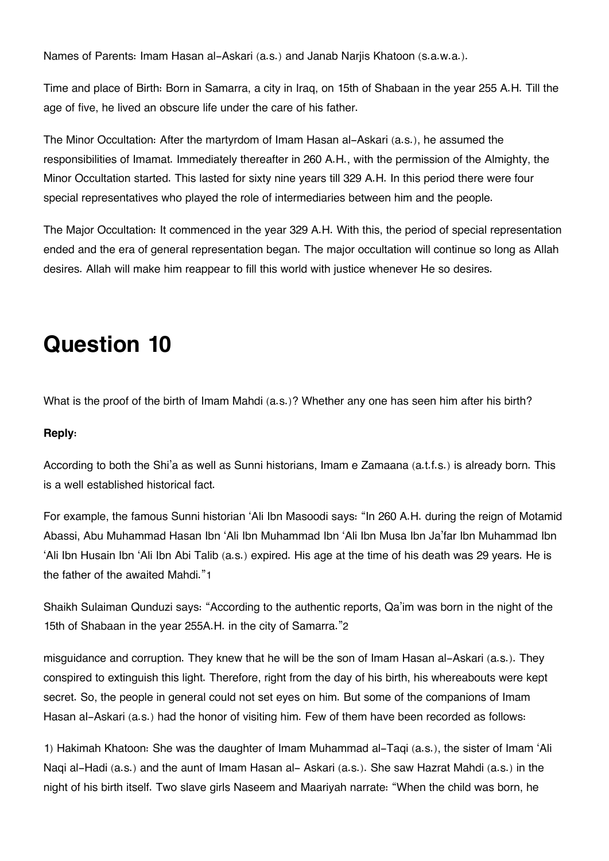Names of Parents: Imam Hasan al-Askari (a.s.) and Janab Narjis Khatoon (s.a.w.a.).

Time and place of Birth: Born in Samarra, a city in Iraq, on 15th of Shabaan in the year 255 A.H. Till the age of five, he lived an obscure life under the care of his father.

The Minor Occultation: After the martyrdom of Imam Hasan al-Askari (a.s.), he assumed the responsibilities of Imamat. Immediately thereafter in 260 A.H., with the permission of the Almighty, the Minor Occultation started. This lasted for sixty nine years till 329 A.H. In this period there were four special representatives who played the role of intermediaries between him and the people.

The Major Occultation: It commenced in the year 329 A.H. With this, the period of special representation ended and the era of general representation began. The major occultation will continue so long as Allah desires. Allah will make him reappear to fill this world with justice whenever He so desires.

# **Question 10**

What is the proof of the birth of Imam Mahdi (a.s.)? Whether any one has seen him after his birth?

### **Reply:**

According to both the Shi'a as well as Sunni historians, Imam e Zamaana (a.t.f.s.) is already born. This is a well established historical fact.

For example, the famous Sunni historian 'Ali Ibn Masoodi says: "In 260 A.H. during the reign of Motamid Abassi, Abu Muhammad Hasan Ibn 'Ali Ibn Muhammad Ibn 'Ali Ibn Musa Ibn Ja'far Ibn Muhammad Ibn 'Ali Ibn Husain Ibn 'Ali Ibn Abi Talib (a.s.) expired. His age at the time of his death was 29 years. He is the father of the awaited Mahdi."[1](#page--1-0)

Shaikh Sulaiman Qunduzi says: "According to the authentic reports, Qa'im was born in the night of the 15th of Shabaan in the year 255A.H. in the city of Samarra."[2](#page--1-0)

misguidance and corruption. They knew that he will be the son of Imam Hasan al-Askari (a.s.). They conspired to extinguish this light. Therefore, right from the day of his birth, his whereabouts were kept secret. So, the people in general could not set eyes on him. But some of the companions of Imam Hasan al-Askari (a.s.) had the honor of visiting him. Few of them have been recorded as follows:

1) Hakimah Khatoon: She was the daughter of Imam Muhammad al-Taqi (a.s.), the sister of Imam 'Ali Naqi al-Hadi (a.s.) and the aunt of Imam Hasan al- Askari (a.s.). She saw Hazrat Mahdi (a.s.) in the night of his birth itself. Two slave girls Naseem and Maariyah narrate: "When the child was born, he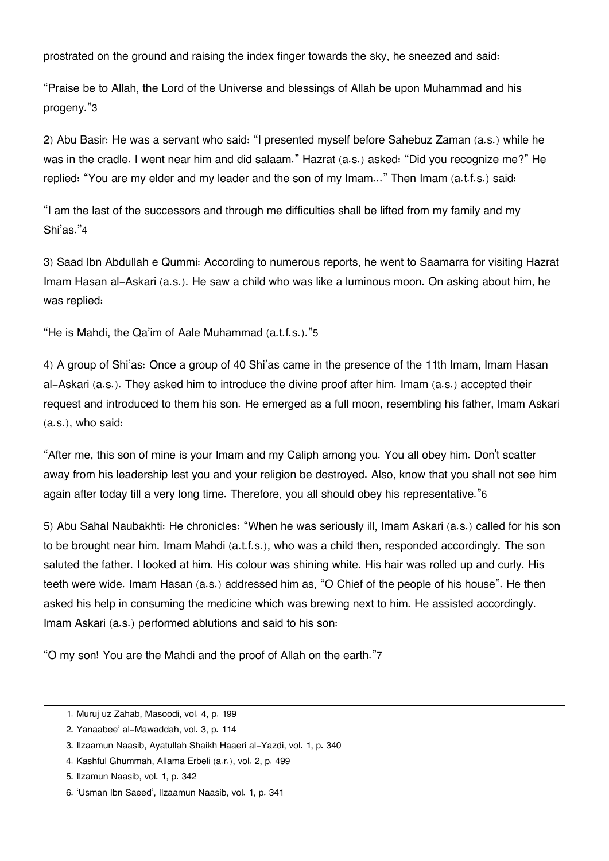prostrated on the ground and raising the index finger towards the sky, he sneezed and said:

"Praise be to Allah, the Lord of the Universe and blessings of Allah be upon Muhammad and his progeny."[3](#page--1-0)

2) Abu Basir: He was a servant who said: "I presented myself before Sahebuz Zaman (a.s.) while he was in the cradle. I went near him and did salaam." Hazrat (a.s.) asked: "Did you recognize me?" He replied: "You are my elder and my leader and the son of my Imam..." Then Imam (a.t.f.s.) said:

"I am the last of the successors and through me difficulties shall be lifted from my family and my Shi'as."[4](#page--1-0)

3) Saad Ibn Abdullah e Qummi: According to numerous reports, he went to Saamarra for visiting Hazrat Imam Hasan al-Askari (a.s.). He saw a child who was like a luminous moon. On asking about him, he was replied:

"He is Mahdi, the Qa'im of Aale Muhammad (a.t.f.s.)."[5](#page--1-0)

4) A group of Shi'as: Once a group of 40 Shi'as came in the presence of the 11th Imam, Imam Hasan al-Askari (a.s.). They asked him to introduce the divine proof after him. Imam (a.s.) accepted their request and introduced to them his son. He emerged as a full moon, resembling his father, Imam Askari (a.s.), who said:

"After me, this son of mine is your Imam and my Caliph among you. You all obey him. Don't scatter away from his leadership lest you and your religion be destroyed. Also, know that you shall not see him again after today till a very long time. Therefore, you all should obey his representative."[6](#page--1-0)

5) Abu Sahal Naubakhti: He chronicles: "When he was seriously ill, Imam Askari (a.s.) called for his son to be brought near him. Imam Mahdi (a.t.f.s.), who was a child then, responded accordingly. The son saluted the father. I looked at him. His colour was shining white. His hair was rolled up and curly. His teeth were wide. Imam Hasan (a.s.) addressed him as, "O Chief of the people of his house". He then asked his help in consuming the medicine which was brewing next to him. He assisted accordingly. Imam Askari (a.s.) performed ablutions and said to his son:

"O my son! You are the Mahdi and the proof of Allah on the earth."[7](#page--1-0)

[<sup>1.</sup>](#page--1-0) Muruj uz Zahab, Masoodi, vol. 4, p. 199

[<sup>2.</sup>](#page--1-0) Yanaabee' al-Mawaddah, vol. 3, p. 114

[<sup>3.</sup>](#page--1-0) Ilzaamun Naasib, Ayatullah Shaikh Haaeri al-Yazdi, vol. 1, p. 340

[<sup>4.</sup>](#page--1-0) Kashful Ghummah, Allama Erbeli (a.r.), vol. 2, p. 499

[<sup>5.</sup>](#page--1-0) Ilzamun Naasib, vol. 1, p. 342

[<sup>6.</sup>](#page--1-0) 'Usman Ibn Saeed', Ilzaamun Naasib, vol. 1, p. 341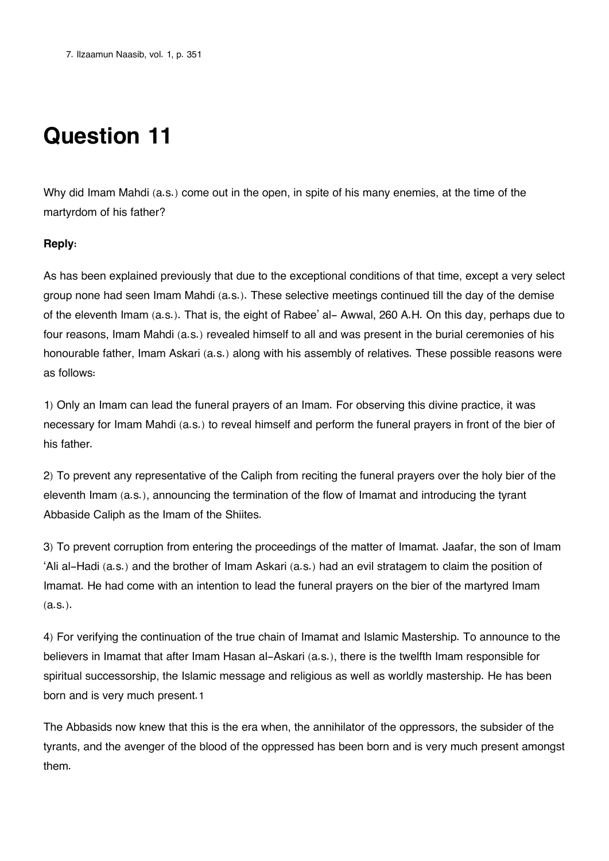## **Question 11**

Why did Imam Mahdi (a.s.) come out in the open, in spite of his many enemies, at the time of the martyrdom of his father?

#### **Reply:**

As has been explained previously that due to the exceptional conditions of that time, except a very select group none had seen Imam Mahdi (a.s.). These selective meetings continued till the day of the demise of the eleventh Imam (a.s.). That is, the eight of Rabee' al- Awwal, 260 A.H. On this day, perhaps due to four reasons, Imam Mahdi (a.s.) revealed himself to all and was present in the burial ceremonies of his honourable father, Imam Askari (a.s.) along with his assembly of relatives. These possible reasons were as follows:

1) Only an Imam can lead the funeral prayers of an Imam. For observing this divine practice, it was necessary for Imam Mahdi (a.s.) to reveal himself and perform the funeral prayers in front of the bier of his father.

2) To prevent any representative of the Caliph from reciting the funeral prayers over the holy bier of the eleventh Imam (a.s.), announcing the termination of the flow of Imamat and introducing the tyrant Abbaside Caliph as the Imam of the Shiites.

3) To prevent corruption from entering the proceedings of the matter of Imamat. Jaafar, the son of Imam 'Ali al-Hadi (a.s.) and the brother of Imam Askari (a.s.) had an evil stratagem to claim the position of Imamat. He had come with an intention to lead the funeral prayers on the bier of the martyred Imam (a.s.).

4) For verifying the continuation of the true chain of Imamat and Islamic Mastership. To announce to the believers in Imamat that after Imam Hasan al-Askari (a.s.), there is the twelfth Imam responsible for spiritual successorship, the Islamic message and religious as well as worldly mastership. He has been born and is very much present.[1](#page--1-0)

The Abbasids now knew that this is the era when, the annihilator of the oppressors, the subsider of the tyrants, and the avenger of the blood of the oppressed has been born and is very much present amongst them.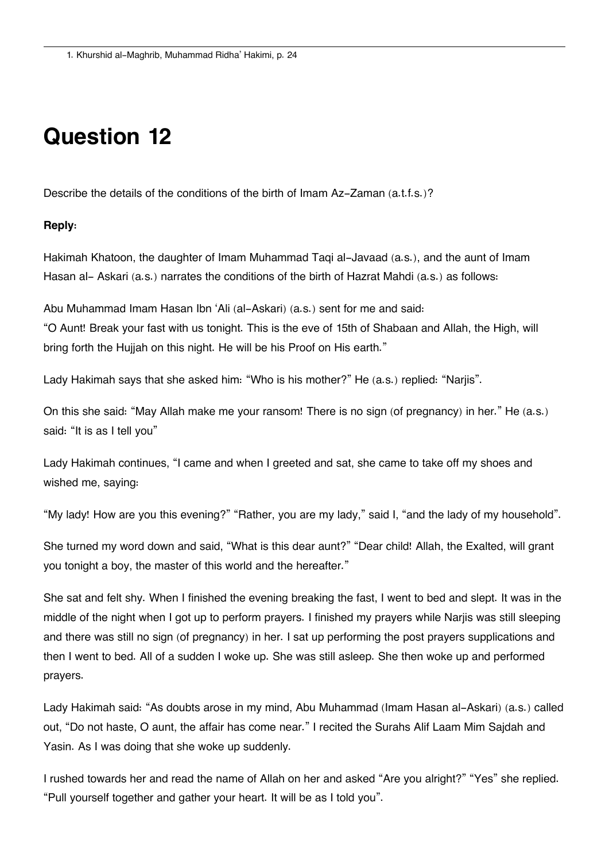## **Question 12**

Describe the details of the conditions of the birth of Imam Az-Zaman (a.t.f.s.)?

### **Reply:**

Hakimah Khatoon, the daughter of Imam Muhammad Taqi al-Javaad (a.s.), and the aunt of Imam Hasan al- Askari (a.s.) narrates the conditions of the birth of Hazrat Mahdi (a.s.) as follows:

Abu Muhammad Imam Hasan Ibn 'Ali (al-Askari) (a.s.) sent for me and said: "O Aunt! Break your fast with us tonight. This is the eve of 15th of Shabaan and Allah, the High, will bring forth the Hujjah on this night. He will be his Proof on His earth."

Lady Hakimah says that she asked him: "Who is his mother?" He (a.s.) replied: "Narjis".

On this she said: "May Allah make me your ransom! There is no sign (of pregnancy) in her." He (a.s.) said: "It is as I tell you"

Lady Hakimah continues, "I came and when I greeted and sat, she came to take off my shoes and wished me, saying:

"My lady! How are you this evening?" "Rather, you are my lady," said I, "and the lady of my household".

She turned my word down and said, "What is this dear aunt?" "Dear child! Allah, the Exalted, will grant you tonight a boy, the master of this world and the hereafter."

She sat and felt shy. When I finished the evening breaking the fast, I went to bed and slept. It was in the middle of the night when I got up to perform prayers. I finished my prayers while Narjis was still sleeping and there was still no sign (of pregnancy) in her. I sat up performing the post prayers supplications and then I went to bed. All of a sudden I woke up. She was still asleep. She then woke up and performed prayers.

Lady Hakimah said: "As doubts arose in my mind, Abu Muhammad (Imam Hasan al-Askari) (a.s.) called out, "Do not haste, O aunt, the affair has come near." I recited the Surahs Alif Laam Mim Sajdah and Yasin. As I was doing that she woke up suddenly.

I rushed towards her and read the name of Allah on her and asked "Are you alright?" "Yes" she replied. "Pull yourself together and gather your heart. It will be as I told you".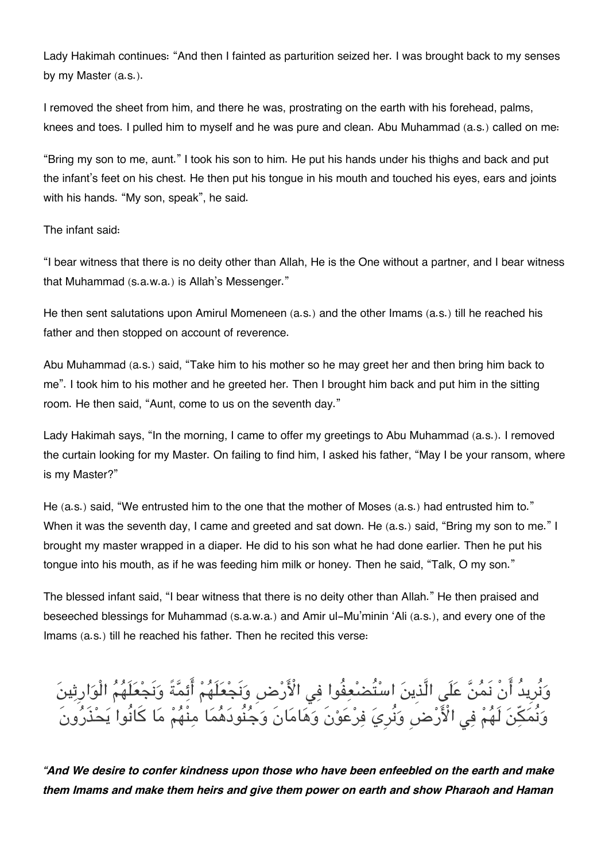Lady Hakimah continues: "And then I fainted as parturition seized her. I was brought back to my senses by my Master (a.s.).

I removed the sheet from him, and there he was, prostrating on the earth with his forehead, palms, knees and toes. I pulled him to myself and he was pure and clean. Abu Muhammad (a.s.) called on me:

"Bring my son to me, aunt." I took his son to him. He put his hands under his thighs and back and put the infant's feet on his chest. He then put his tongue in his mouth and touched his eyes, ears and joints with his hands. "My son, speak", he said.

The infant said:

"I bear witness that there is no deity other than Allah, He is the One without a partner, and I bear witness that Muhammad (s.a.w.a.) is Allah's Messenger."

He then sent salutations upon Amirul Momeneen (a.s.) and the other Imams (a.s.) till he reached his father and then stopped on account of reverence.

Abu Muhammad (a.s.) said, "Take him to his mother so he may greet her and then bring him back to me". I took him to his mother and he greeted her. Then I brought him back and put him in the sitting room. He then said, "Aunt, come to us on the seventh day."

Lady Hakimah says, "In the morning, I came to offer my greetings to Abu Muhammad (a.s.). I removed the curtain looking for my Master. On failing to find him, I asked his father, "May I be your ransom, where is my Master?"

He (a.s.) said, "We entrusted him to the one that the mother of Moses (a.s.) had entrusted him to." When it was the seventh day, I came and greeted and sat down. He (a.s.) said, "Bring my son to me." I brought my master wrapped in a diaper. He did to his son what he had done earlier. Then he put his tongue into his mouth, as if he was feeding him milk or honey. Then he said, "Talk, O my son."

The blessed infant said, "I bear witness that there is no deity other than Allah." He then praised and beseeched blessings for Muhammad (s.a.w.a.) and Amir ul-Mu'minin 'Ali (a.s.), and every one of the Imams (a.s.) till he reached his father. Then he recited this verse:

وَنُرِيدُ أَنْ نَمَنٌ عَلَى الَّذِينَ اسْتَضْعِفُوا فِي الأَرْضِ وَنَجْعَلَهُمْ أَئِمَّةً وَنَجْعَلَهُمُ الْوَارِثِينَ وَنَمَكِنَ لَهُمْ فِي الأَرْضِ وَنَرِيَ فِرْعَوْنِ وَهَامَانِ وَجُنُودَهُمَا مِنْهُمْ مَا كَانُوا يَحْذَرُونَ

*"And We desire to confer kindness upon those who have been enfeebled on the earth and make them Imams and make them heirs and give them power on earth and show Pharaoh and Haman*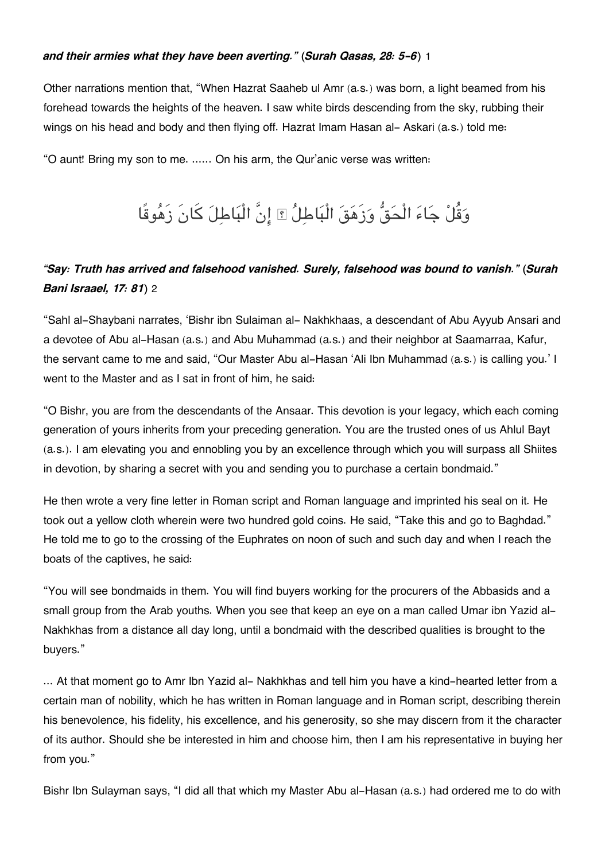#### *and their armies what they have been averting." (Surah Qasas, 28: 5-6)* [1](#page--1-0)

Other narrations mention that, "When Hazrat Saaheb ul Amr (a.s.) was born, a light beamed from his forehead towards the heights of the heaven. I saw white birds descending from the sky, rubbing their wings on his head and body and then flying off. Hazrat Imam Hasan al- Askari (a.s.) told me:

"O aunt! Bring my son to me. ...... On his arm, the Qur'anic verse was written:

## وقُل جاء الْحق وزَهق الْباطل ۚ انَّ الْباطل كانَ زَهوقًا

## *"Say: Truth has arrived and falsehood vanished. Surely, falsehood was bound to vanish." (Surah Bani Israael, 17: 81)* [2](#page--1-0)

"Sahl al-Shaybani narrates, 'Bishr ibn Sulaiman al- Nakhkhaas, a descendant of Abu Ayyub Ansari and a devotee of Abu al-Hasan (a.s.) and Abu Muhammad (a.s.) and their neighbor at Saamarraa, Kafur, the servant came to me and said, "Our Master Abu al-Hasan 'Ali Ibn Muhammad (a.s.) is calling you.' I went to the Master and as I sat in front of him, he said:

"O Bishr, you are from the descendants of the Ansaar. This devotion is your legacy, which each coming generation of yours inherits from your preceding generation. You are the trusted ones of us Ahlul Bayt (a.s.). I am elevating you and ennobling you by an excellence through which you will surpass all Shiites in devotion, by sharing a secret with you and sending you to purchase a certain bondmaid."

He then wrote a very fine letter in Roman script and Roman language and imprinted his seal on it. He took out a yellow cloth wherein were two hundred gold coins. He said, "Take this and go to Baghdad." He told me to go to the crossing of the Euphrates on noon of such and such day and when I reach the boats of the captives, he said:

"You will see bondmaids in them. You will find buyers working for the procurers of the Abbasids and a small group from the Arab youths. When you see that keep an eye on a man called Umar ibn Yazid al-Nakhkhas from a distance all day long, until a bondmaid with the described qualities is brought to the buyers."

... At that moment go to Amr Ibn Yazid al- Nakhkhas and tell him you have a kind-hearted letter from a certain man of nobility, which he has written in Roman language and in Roman script, describing therein his benevolence, his fidelity, his excellence, and his generosity, so she may discern from it the character of its author. Should she be interested in him and choose him, then I am his representative in buying her from you."

Bishr Ibn Sulayman says, "I did all that which my Master Abu al-Hasan (a.s.) had ordered me to do with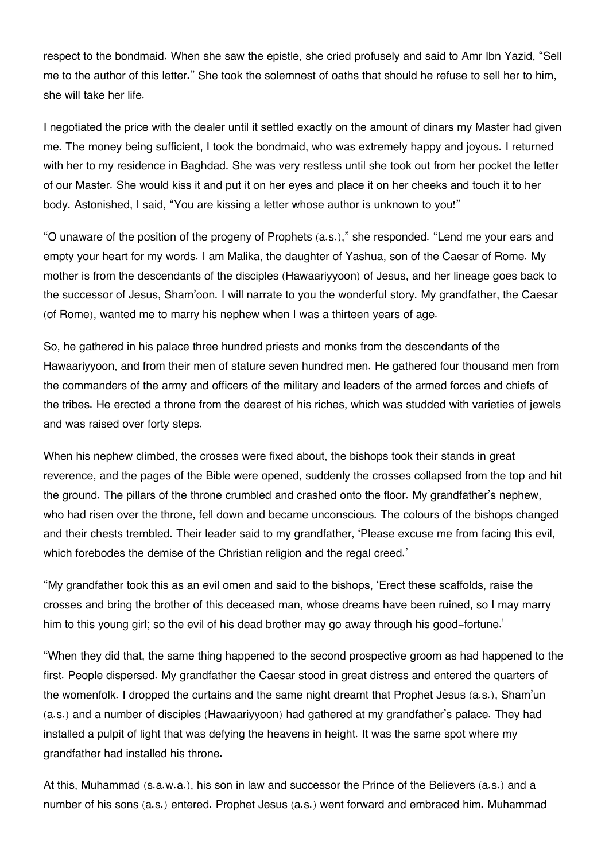respect to the bondmaid. When she saw the epistle, she cried profusely and said to Amr Ibn Yazid, "Sell me to the author of this letter." She took the solemnest of oaths that should he refuse to sell her to him, she will take her life.

I negotiated the price with the dealer until it settled exactly on the amount of dinars my Master had given me. The money being sufficient, I took the bondmaid, who was extremely happy and joyous. I returned with her to my residence in Baghdad. She was very restless until she took out from her pocket the letter of our Master. She would kiss it and put it on her eyes and place it on her cheeks and touch it to her body. Astonished, I said, "You are kissing a letter whose author is unknown to you!"

"O unaware of the position of the progeny of Prophets (a.s.)," she responded. "Lend me your ears and empty your heart for my words. I am Malika, the daughter of Yashua, son of the Caesar of Rome. My mother is from the descendants of the disciples (Hawaariyyoon) of Jesus, and her lineage goes back to the successor of Jesus, Sham'oon. I will narrate to you the wonderful story. My grandfather, the Caesar (of Rome), wanted me to marry his nephew when I was a thirteen years of age.

So, he gathered in his palace three hundred priests and monks from the descendants of the Hawaariyyoon, and from their men of stature seven hundred men. He gathered four thousand men from the commanders of the army and officers of the military and leaders of the armed forces and chiefs of the tribes. He erected a throne from the dearest of his riches, which was studded with varieties of jewels and was raised over forty steps.

When his nephew climbed, the crosses were fixed about, the bishops took their stands in great reverence, and the pages of the Bible were opened, suddenly the crosses collapsed from the top and hit the ground. The pillars of the throne crumbled and crashed onto the floor. My grandfather's nephew, who had risen over the throne, fell down and became unconscious. The colours of the bishops changed and their chests trembled. Their leader said to my grandfather, 'Please excuse me from facing this evil, which forebodes the demise of the Christian religion and the regal creed.'

"My grandfather took this as an evil omen and said to the bishops, 'Erect these scaffolds, raise the crosses and bring the brother of this deceased man, whose dreams have been ruined, so I may marry him to this young girl; so the evil of his dead brother may go away through his good-fortune.'

"When they did that, the same thing happened to the second prospective groom as had happened to the first. People dispersed. My grandfather the Caesar stood in great distress and entered the quarters of the womenfolk. I dropped the curtains and the same night dreamt that Prophet Jesus (a.s.), Sham'un (a.s.) and a number of disciples (Hawaariyyoon) had gathered at my grandfather's palace. They had installed a pulpit of light that was defying the heavens in height. It was the same spot where my grandfather had installed his throne.

At this, Muhammad (s.a.w.a.), his son in law and successor the Prince of the Believers (a.s.) and a number of his sons (a.s.) entered. Prophet Jesus (a.s.) went forward and embraced him. Muhammad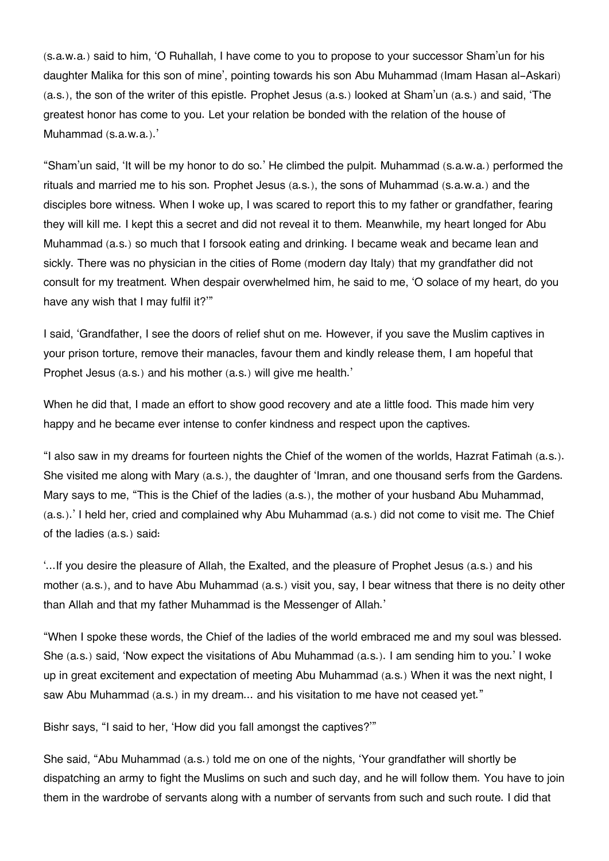(s.a.w.a.) said to him, 'O Ruhallah, I have come to you to propose to your successor Sham'un for his daughter Malika for this son of mine', pointing towards his son Abu Muhammad (Imam Hasan al-Askari) (a.s.), the son of the writer of this epistle. Prophet Jesus (a.s.) looked at Sham'un (a.s.) and said, 'The greatest honor has come to you. Let your relation be bonded with the relation of the house of Muhammad (s.a.w.a.).'

"Sham'un said, 'It will be my honor to do so.' He climbed the pulpit. Muhammad (s.a.w.a.) performed the rituals and married me to his son. Prophet Jesus (a.s.), the sons of Muhammad (s.a.w.a.) and the disciples bore witness. When I woke up, I was scared to report this to my father or grandfather, fearing they will kill me. I kept this a secret and did not reveal it to them. Meanwhile, my heart longed for Abu Muhammad (a.s.) so much that I forsook eating and drinking. I became weak and became lean and sickly. There was no physician in the cities of Rome (modern day Italy) that my grandfather did not consult for my treatment. When despair overwhelmed him, he said to me, 'O solace of my heart, do you have any wish that I may fulfil it?'"

I said, 'Grandfather, I see the doors of relief shut on me. However, if you save the Muslim captives in your prison torture, remove their manacles, favour them and kindly release them, I am hopeful that Prophet Jesus (a.s.) and his mother (a.s.) will give me health.'

When he did that, I made an effort to show good recovery and ate a little food. This made him very happy and he became ever intense to confer kindness and respect upon the captives.

"I also saw in my dreams for fourteen nights the Chief of the women of the worlds, Hazrat Fatimah (a.s.). She visited me along with Mary (a.s.), the daughter of 'Imran, and one thousand serfs from the Gardens. Mary says to me, "This is the Chief of the ladies (a.s.), the mother of your husband Abu Muhammad, (a.s.).' I held her, cried and complained why Abu Muhammad (a.s.) did not come to visit me. The Chief of the ladies (a.s.) said:

'...If you desire the pleasure of Allah, the Exalted, and the pleasure of Prophet Jesus (a.s.) and his mother (a.s.), and to have Abu Muhammad (a.s.) visit you, say, I bear witness that there is no deity other than Allah and that my father Muhammad is the Messenger of Allah.'

"When I spoke these words, the Chief of the ladies of the world embraced me and my soul was blessed. She (a.s.) said, 'Now expect the visitations of Abu Muhammad (a.s.). I am sending him to you.' I woke up in great excitement and expectation of meeting Abu Muhammad (a.s.) When it was the next night, I saw Abu Muhammad (a.s.) in my dream... and his visitation to me have not ceased yet."

Bishr says, "I said to her, 'How did you fall amongst the captives?'"

She said, "Abu Muhammad (a.s.) told me on one of the nights, 'Your grandfather will shortly be dispatching an army to fight the Muslims on such and such day, and he will follow them. You have to join them in the wardrobe of servants along with a number of servants from such and such route. I did that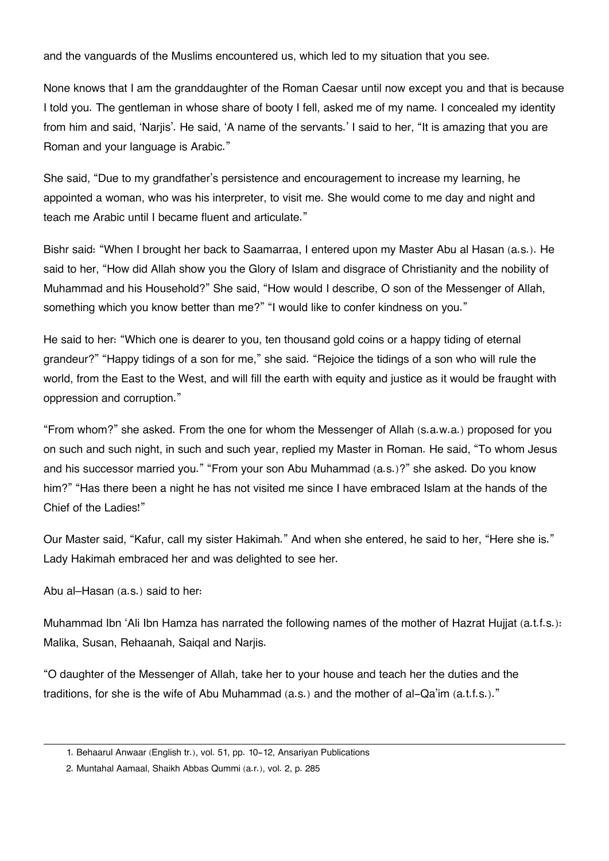and the vanguards of the Muslims encountered us, which led to my situation that you see.

None knows that I am the granddaughter of the Roman Caesar until now except you and that is because I told you. The gentleman in whose share of booty I fell, asked me of my name. I concealed my identity from him and said, 'Narjis'. He said, 'A name of the servants.' I said to her, "It is amazing that you are Roman and your language is Arabic."

She said, "Due to my grandfather's persistence and encouragement to increase my learning, he appointed a woman, who was his interpreter, to visit me. She would come to me day and night and teach me Arabic until I became fluent and articulate."

Bishr said: "When I brought her back to Saamarraa, I entered upon my Master Abu al Hasan (a.s.). He said to her, "How did Allah show you the Glory of Islam and disgrace of Christianity and the nobility of Muhammad and his Household?" She said, "How would I describe, O son of the Messenger of Allah, something which you know better than me?" "I would like to confer kindness on you."

He said to her: "Which one is dearer to you, ten thousand gold coins or a happy tiding of eternal grandeur?" "Happy tidings of a son for me," she said. "Rejoice the tidings of a son who will rule the world, from the East to the West, and will fill the earth with equity and justice as it would be fraught with oppression and corruption."

"From whom?" she asked. From the one for whom the Messenger of Allah (s.a.w.a.) proposed for you on such and such night, in such and such year, replied my Master in Roman. He said, "To whom Jesus and his successor married you." "From your son Abu Muhammad (a.s.)?" she asked. Do you know him?" "Has there been a night he has not visited me since I have embraced Islam at the hands of the Chief of the Ladies!"

Our Master said, "Kafur, call my sister Hakimah." And when she entered, he said to her, "Here she is." Lady Hakimah embraced her and was delighted to see her.

Abu al–Hasan (a.s.) said to her:

Muhammad Ibn 'Ali Ibn Hamza has narrated the following names of the mother of Hazrat Hujjat (a.t.f.s.): Malika, Susan, Rehaanah, Saiqal and Narjis.

"O daughter of the Messenger of Allah, take her to your house and teach her the duties and the traditions, for she is the wife of Abu Muhammad (a.s.) and the mother of al-Qa'im (a.t.f.s.)."

[<sup>1.</sup>](#page--1-0) Behaarul Anwaar (English tr.), vol. 51, pp. 10-12, Ansariyan Publications

[<sup>2.</sup>](#page--1-0) Muntahal Aamaal, Shaikh Abbas Qummi (a.r.), vol. 2, p. 285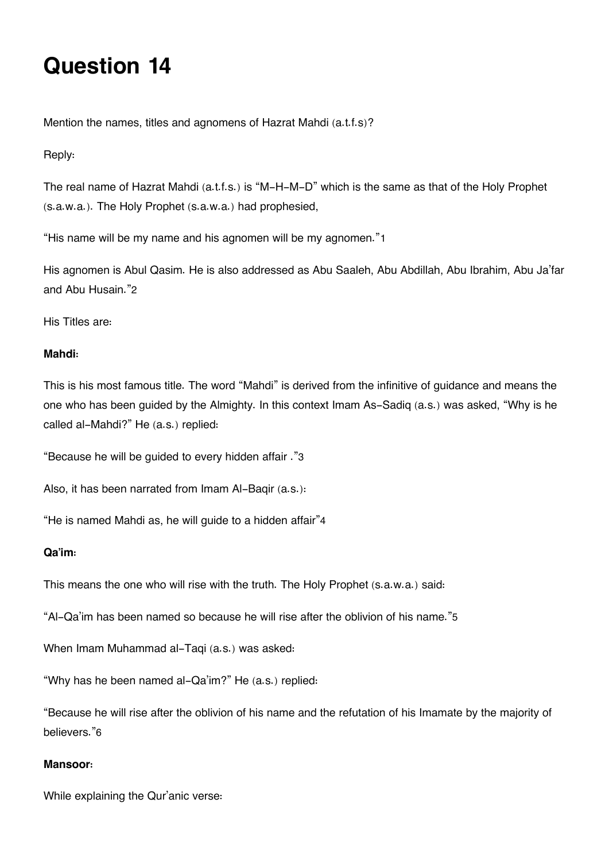## **Question 14**

Mention the names, titles and agnomens of Hazrat Mahdi (a.t.f.s)?

### Reply:

The real name of Hazrat Mahdi (a.t.f.s.) is "M-H-M-D" which is the same as that of the Holy Prophet (s.a.w.a.). The Holy Prophet (s.a.w.a.) had prophesied,

"His name will be my name and his agnomen will be my agnomen."[1](#page--1-0)

His agnomen is Abul Qasim. He is also addressed as Abu Saaleh, Abu Abdillah, Abu Ibrahim, Abu Ja'far and Abu Husain."[2](#page--1-0)

His Titles are:

### **Mahdi:**

This is his most famous title. The word "Mahdi" is derived from the infinitive of guidance and means the one who has been guided by the Almighty. In this context Imam As-Sadiq (a.s.) was asked, "Why is he called al-Mahdi?" He (a.s.) replied:

"Because he will be guided to every hidden affair ."[3](#page--1-0)

Also, it has been narrated from Imam Al-Baqir (a.s.):

"He is named Mahdi as, he will guide to a hidden affair"[4](#page--1-0)

#### **Qa'im:**

This means the one who will rise with the truth. The Holy Prophet (s.a.w.a.) said:

"Al-Qa'im has been named so because he will rise after the oblivion of his name."[5](#page--1-0)

When Imam Muhammad al-Taqi (a.s.) was asked:

"Why has he been named al-Qa'im?" He (a.s.) replied:

"Because he will rise after the oblivion of his name and the refutation of his Imamate by the majority of believers."[6](#page--1-0)

#### **Mansoor:**

While explaining the Qur'anic verse: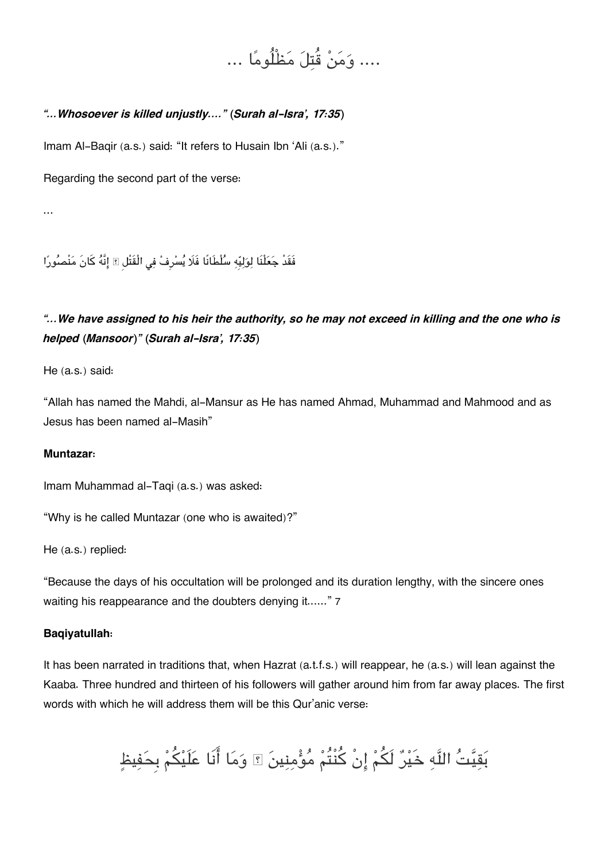# .... ومن قُتل مظْلُوما ...

### *"…Whosoever is killed unjustly...." (Surah al-Isra', 17:35)*

Imam Al-Baqir (a.s.) said: "It refers to Husain Ibn 'Ali (a.s.)."

Regarding the second part of the verse:

فَقَدْ جَعَلْنَا لِوَلِيِّهِ سُلْطَانًا فَلَا يُسْرِفْ فِي الْقَتْل ۩ إِنَّهُ كَانَ مَنْصُورًا

## *"...We have assigned to his heir the authority, so he may not exceed in killing and the one who is helped (Mansoor)" (Surah al-Isra', 17:35)*

He (a.s.) said:

…

"Allah has named the Mahdi, al-Mansur as He has named Ahmad, Muhammad and Mahmood and as Jesus has been named al-Masih"

#### **Muntazar:**

Imam Muhammad al-Taqi (a.s.) was asked:

"Why is he called Muntazar (one who is awaited)?"

He (a.s.) replied:

"Because the days of his occultation will be prolonged and its duration lengthy, with the sincere ones waiting his reappearance and the doubters denying it......" [7](#page--1-0)

#### **Baqiyatullah:**

It has been narrated in traditions that, when Hazrat (a.t.f.s.) will reappear, he (a.s.) will lean against the Kaaba. Three hundred and thirteen of his followers will gather around him from far away places. The first words with which he will address them will be this Qur'anic verse:

بَقِيَّتُ اللَّهِ خَيْرٌ لَكُمْ إِنْ كُنْتُمْ مُؤْمِنِينَ ؟ وَمَا أَنَا عَلَيْكُمْ بِحَفِيظٍ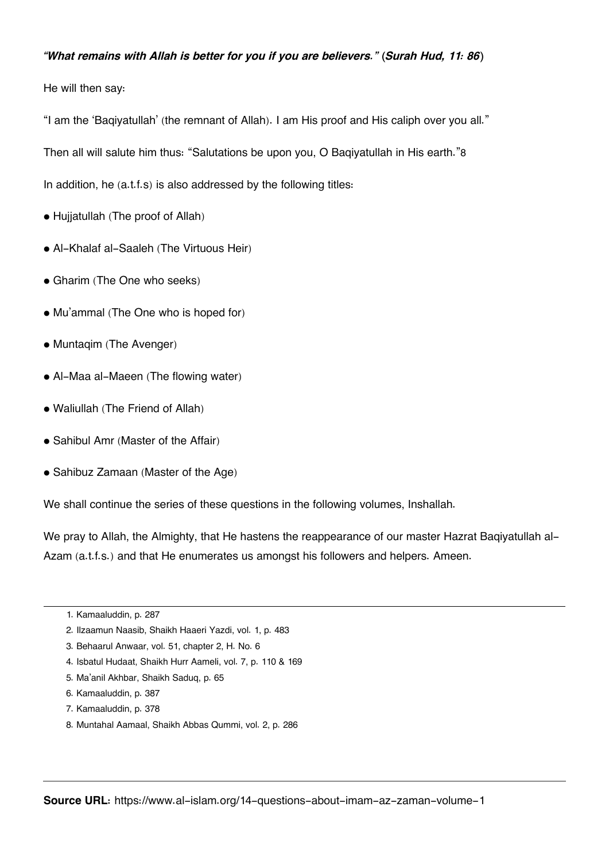#### *"What remains with Allah is better for you if you are believers." (Surah Hud, 11: 86)*

He will then say:

"I am the 'Baqiyatullah' (the remnant of Allah). I am His proof and His caliph over you all."

Then all will salute him thus: "Salutations be upon you, O Baqiyatullah in His earth."[8](#page--1-0)

In addition, he (a.t.f.s) is also addressed by the following titles:

- Hujjatullah (The proof of Allah)
- Al-Khalaf al-Saaleh (The Virtuous Heir)
- Gharim (The One who seeks)
- Mu'ammal (The One who is hoped for)
- Muntaqim (The Avenger)
- Al-Maa al-Maeen (The flowing water)
- Waliullah (The Friend of Allah)
- Sahibul Amr (Master of the Affair)
- Sahibuz Zamaan (Master of the Age)

We shall continue the series of these questions in the following volumes, Inshallah.

We pray to Allah, the Almighty, that He hastens the reappearance of our master Hazrat Baqiyatullah al-Azam (a.t.f.s.) and that He enumerates us amongst his followers and helpers. Ameen.

- [3.](#page--1-0) Behaarul Anwaar, vol. 51, chapter 2, H. No. 6
- [4.](#page--1-0) Isbatul Hudaat, Shaikh Hurr Aameli, vol. 7, p. 110 & 169
- [5.](#page--1-0) Ma'anil Akhbar, Shaikh Saduq, p. 65
- [6.](#page--1-0) Kamaaluddin, p. 387
- [7.](#page--1-0) Kamaaluddin, p. 378
- [8.](#page--1-0) Muntahal Aamaal, Shaikh Abbas Qummi, vol. 2, p. 286

[<sup>1.</sup>](#page--1-0) Kamaaluddin, p. 287

[<sup>2.</sup>](#page--1-0) Ilzaamun Naasib, Shaikh Haaeri Yazdi, vol. 1, p. 483